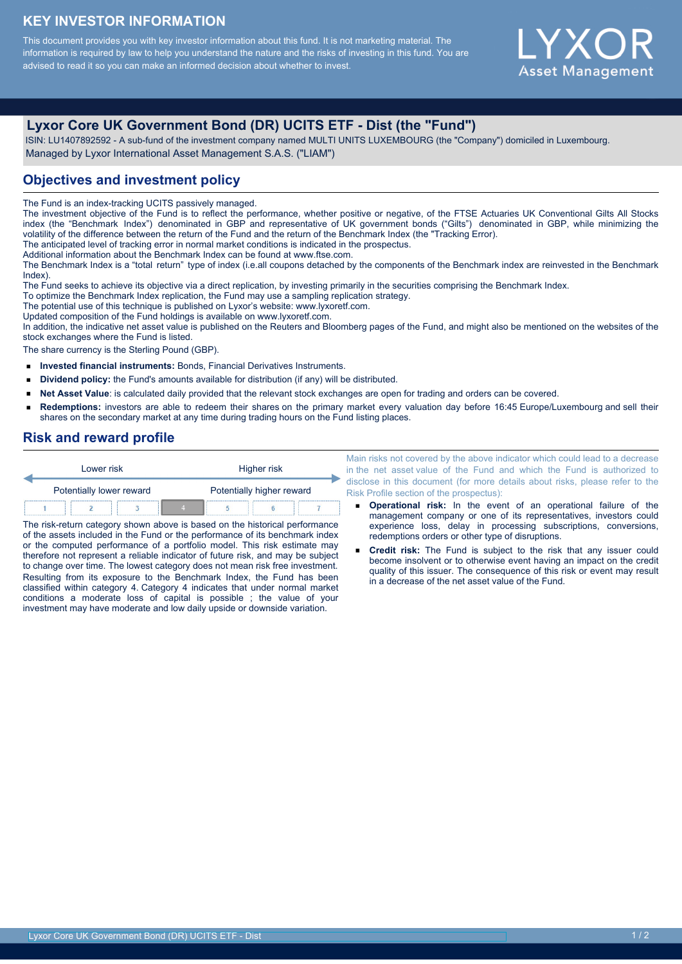# **KEY INVESTOR INFORMATION**

This document provides you with key investor information about this fund. It is not marketing material. The information is required by law to help you understand the nature and the risks of investing in this fund. You are advised to read it so you can make an informed decision about whether to invest.

# Y X ( **Asset Management**

# **Lyxor Core UK Government Bond (DR) UCITS ETF - Dist (the "Fund")**

 ISIN: LU1407892592 - A sub-fund of the investment company named MULTI UNITS LUXEMBOURG (the "Company") domiciled in Luxembourg. Managed by Lyxor International Asset Management S.A.S. ("LIAM")

# **Objectives and investment policy**

The Fund is an index-tracking UCITS passively managed.

The investment objective of the Fund is to reflect the performance, whether positive or negative, of the FTSE Actuaries UK Conventional Gilts All Stocks index (the "Benchmark Index") denominated in GBP and representative of UK government bonds ("Gilts") denominated in GBP, while minimizing the volatility of the difference between the return of the Fund and the return of the Benchmark Index (the "Tracking Error).

The anticipated level of tracking error in normal market conditions is indicated in the prospectus.

Additional information about the Benchmark Index can be found at www.ftse.com.

The Benchmark Index is a "total return" type of index (i.e.all coupons detached by the components of the Benchmark index are reinvested in the Benchmark Index).

The Fund seeks to achieve its objective via a direct replication, by investing primarily in the securities comprising the Benchmark Index.

To optimize the Benchmark Index replication, the Fund may use a sampling replication strategy.

The potential use of this technique is published on Lyxor's website: www.lyxoretf.com.

Updated composition of the Fund holdings is available on www.lyxoretf.com.

In addition, the indicative net asset value is published on the Reuters and Bloomberg pages of the Fund, and might also be mentioned on the websites of the stock exchanges where the Fund is listed.

The share currency is the Sterling Pound (GBP).

- **Invested financial instruments:** Bonds, Financial Derivatives Instruments.
- $\blacksquare$ **Dividend policy:** the Fund's amounts available for distribution (if any) will be distributed.
- **Net Asset Value**: is calculated daily provided that the relevant stock exchanges are open for trading and orders can be covered.  $\blacksquare$
- **Redemptions:** investors are able to redeem their shares on the primary market every valuation day before 16:45 Europe/Luxembourg and sell their shares on the secondary market at any time during trading hours on the Fund listing places.

### **Risk and reward profile**

| Lower risk               |  |  |                           | Higher risk |  |  |  |
|--------------------------|--|--|---------------------------|-------------|--|--|--|
| Potentially lower reward |  |  | Potentially higher reward |             |  |  |  |
|                          |  |  |                           |             |  |  |  |

The risk-return category shown above is based on the historical performance of the assets included in the Fund or the performance of its benchmark index or the computed performance of a portfolio model. This risk estimate may therefore not represent a reliable indicator of future risk, and may be subject to change over time. The lowest category does not mean risk free investment. Resulting from its exposure to the Benchmark Index, the Fund has been classified within category 4. Category 4 indicates that under normal market conditions a moderate loss of capital is possible ; the value of your investment may have moderate and low daily upside or downside variation.

Main risks not covered by the above indicator which could lead to a decrease in the net asset value of the Fund and which the Fund is authorized to disclose in this document (for more details about risks, please refer to the Risk Profile section of the prospectus):

- **Operational risk:** In the event of an operational failure of the management company or one of its representatives, investors could experience loss, delay in processing subscriptions, conversions, redemptions orders or other type of disruptions.
- **Credit risk:** The Fund is subject to the risk that any issuer could become insolvent or to otherwise event having an impact on the credit quality of this issuer. The consequence of this risk or event may result in a decrease of the net asset value of the Fund.